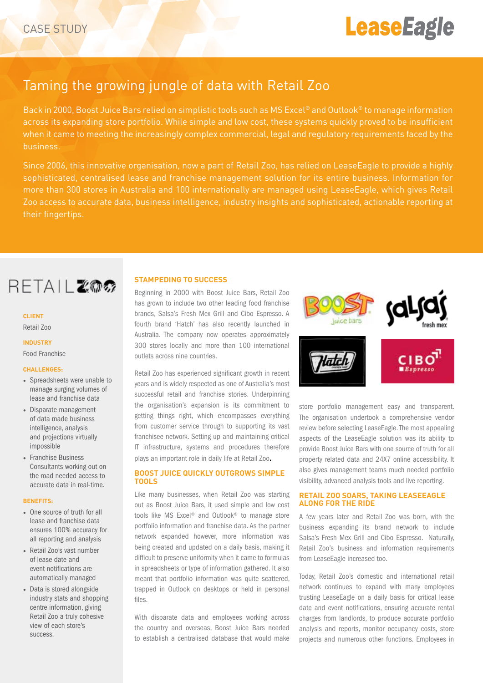# **LeaseEagle**

### Taming the growing jungle of data with Retail Zoo

Back in 2000, Boost Juice Bars relied on simplistic tools such as MS Excel® and Outlook® to manage information across its expanding store portfolio. While simple and low cost, these systems quickly proved to be insufficient when it came to meeting the increasingly complex commercial, legal and regulatory requirements faced by the business.

Since 2006, this innovative organisation, now a part of Retail Zoo, has relied on LeaseEagle to provide a highly sophisticated, centralised lease and franchise management solution for its entire business. Information for more than 300 stores in Australia and 100 internationally are managed using LeaseEagle, which gives Retail Zoo access to accurate data, business intelligence, industry insights and sophisticated, actionable reporting at their fingertips.

## RETAIL 2002

#### **CLIENT**

Retail Zoo

#### **INDUSTRY** Food Franchise

#### **CHALLENGES:**

- Spreadsheets were unable to manage surging volumes of lease and franchise data
- Disparate management of data made business intelligence, analysis and projections virtually impossible
- Franchise Business Consultants working out on the road needed access to accurate data in real-time.

#### **BENEFITS:**

- One source of truth for all lease and franchise data ensures 100% accuracy for all reporting and analysis
- Retail Zoo's vast number of lease date and event notifications are automatically managed
- Data is stored alongside industry stats and shopping centre information, giving Retail Zoo a truly cohesive view of each store's success.

#### **STAMPEDING TO SUCCESS**

Beginning in 2000 with Boost Juice Bars, Retail Zoo has grown to include two other leading food franchise brands, Salsa's Fresh Mex Grill and Cibo Espresso. A fourth brand 'Hatch' has also recently launched in Australia. The company now operates approximately 300 stores locally and more than 100 international outlets across nine countries.

Retail Zoo has experienced significant growth in recent years and is widely respected as one of Australia's most successful retail and franchise stories. Underpinning the organisation's expansion is its commitment to getting things right, which encompasses everything from customer service through to supporting its vast franchisee network. Setting up and maintaining critical IT infrastructure, systems and procedures therefore plays an important role in daily life at Retail Zoo.

#### **BOOST JUICE QUICKLY OUTGROWS SIMPLE TOOLS**

Like many businesses, when Retail Zoo was starting out as Boost Juice Bars, it used simple and low cost tools like MS Excel® and Outlook® to manage store portfolio information and franchise data. As the partner network expanded however, more information was being created and updated on a daily basis, making it difficult to preserve uniformity when it came to formulas in spreadsheets or type of information gathered. It also meant that portfolio information was quite scattered, trapped in Outlook on desktops or held in personal files.

With disparate data and employees working across the country and overseas, Boost Juice Bars needed to establish a centralised database that would make



store portfolio management easy and transparent. The organisation undertook a comprehensive vendor review before selecting LeaseEagle. The most appealing aspects of the LeaseEagle solution was its ability to provide Boost Juice Bars with one source of truth for all property related data and 24X7 online accessibility. It also gives management teams much needed portfolio visibility, advanced analysis tools and live reporting.

#### **RETAIL ZOO SOARS, TAKING LEASEEAGLE ALONG FOR THE RIDE**

A few years later and Retail Zoo was born, with the business expanding its brand network to include Salsa's Fresh Mex Grill and Cibo Espresso. Naturally, Retail Zoo's business and information requirements from LeaseEagle increased too.

Today, Retail Zoo's domestic and international retail network continues to expand with many employees trusting LeaseEagle on a daily basis for critical lease date and event notifications, ensuring accurate rental charges from landlords, to produce accurate portfolio analysis and reports, monitor occupancy costs, store projects and numerous other functions. Employees in